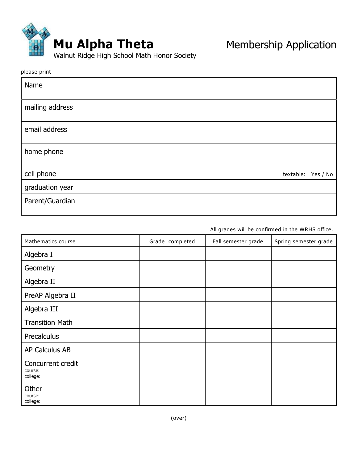

| Name            |                    |  |
|-----------------|--------------------|--|
| mailing address |                    |  |
| email address   |                    |  |
| home phone      |                    |  |
| cell phone      | textable: Yes / No |  |
| graduation year |                    |  |
| Parent/Guardian |                    |  |

*All grades will be confirmed in the WRHS office.*

| Mathematics course                       | Grade completed | Fall semester grade | Spring semester grade |
|------------------------------------------|-----------------|---------------------|-----------------------|
| Algebra I                                |                 |                     |                       |
| Geometry                                 |                 |                     |                       |
| Algebra II                               |                 |                     |                       |
| PreAP Algebra II                         |                 |                     |                       |
| Algebra III                              |                 |                     |                       |
| <b>Transition Math</b>                   |                 |                     |                       |
| Precalculus                              |                 |                     |                       |
| AP Calculus AB                           |                 |                     |                       |
| Concurrent credit<br>course:<br>college: |                 |                     |                       |
| Other<br>course:<br>college:             |                 |                     |                       |